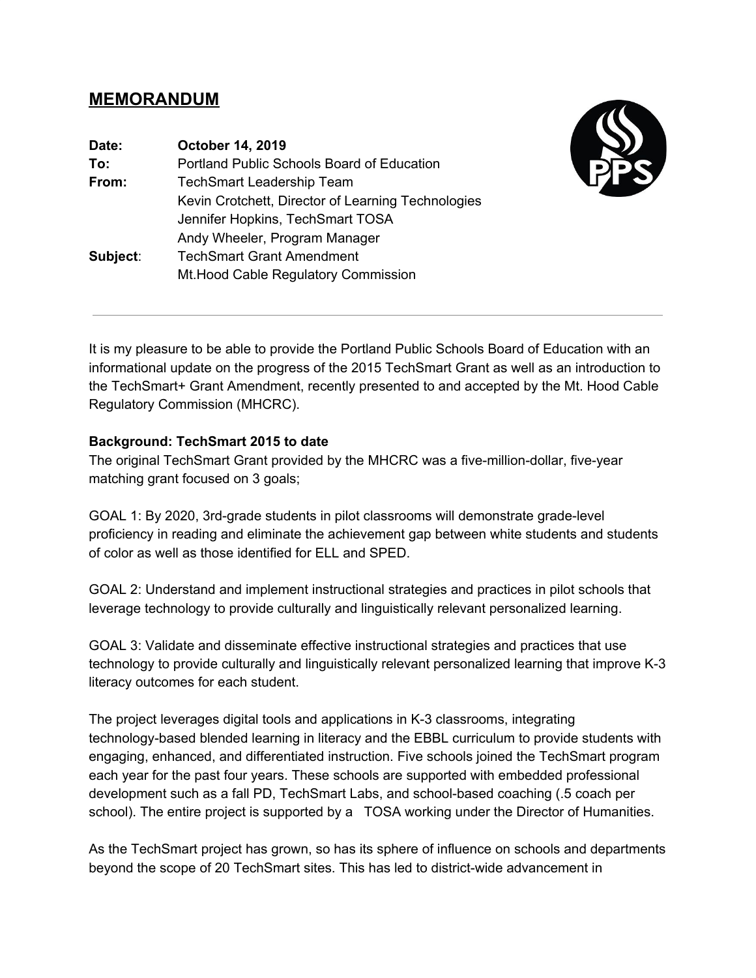# **MEMORANDUM**

| Date:    | <b>October 14, 2019</b>                            |  |  |
|----------|----------------------------------------------------|--|--|
| To:      | Portland Public Schools Board of Education         |  |  |
| From:    | <b>TechSmart Leadership Team</b>                   |  |  |
|          | Kevin Crotchett, Director of Learning Technologies |  |  |
|          | Jennifer Hopkins, TechSmart TOSA                   |  |  |
|          | Andy Wheeler, Program Manager                      |  |  |
| Subject: | <b>TechSmart Grant Amendment</b>                   |  |  |
|          | Mt. Hood Cable Regulatory Commission               |  |  |
|          |                                                    |  |  |



It is my pleasure to be able to provide the Portland Public Schools Board of Education with an informational update on the progress of the 2015 TechSmart Grant as well as an introduction to the TechSmart+ Grant Amendment, recently presented to and accepted by the Mt. Hood Cable Regulatory Commission (MHCRC).

# **Background: TechSmart 2015 to date**

The original TechSmart Grant provided by the MHCRC was a five-million-dollar, five-year matching grant focused on 3 goals;

GOAL 1: By 2020, 3rd-grade students in pilot classrooms will demonstrate grade-level proficiency in reading and eliminate the achievement gap between white students and students of color as well as those identified for ELL and SPED.

GOAL 2: Understand and implement instructional strategies and practices in pilot schools that leverage technology to provide culturally and linguistically relevant personalized learning.

GOAL 3: Validate and disseminate effective instructional strategies and practices that use technology to provide culturally and linguistically relevant personalized learning that improve K-3 literacy outcomes for each student.

The project leverages digital tools and applications in K-3 classrooms, integrating technology-based blended learning in literacy and the EBBL curriculum to provide students with engaging, enhanced, and differentiated instruction. Five schools joined the TechSmart program each year for the past four years. These schools are supported with embedded professional development such as a fall PD, TechSmart Labs, and school-based coaching (.5 coach per school). The entire project is supported by a TOSA working under the Director of Humanities.

As the TechSmart project has grown, so has its sphere of influence on schools and departments beyond the scope of 20 TechSmart sites. This has led to district-wide advancement in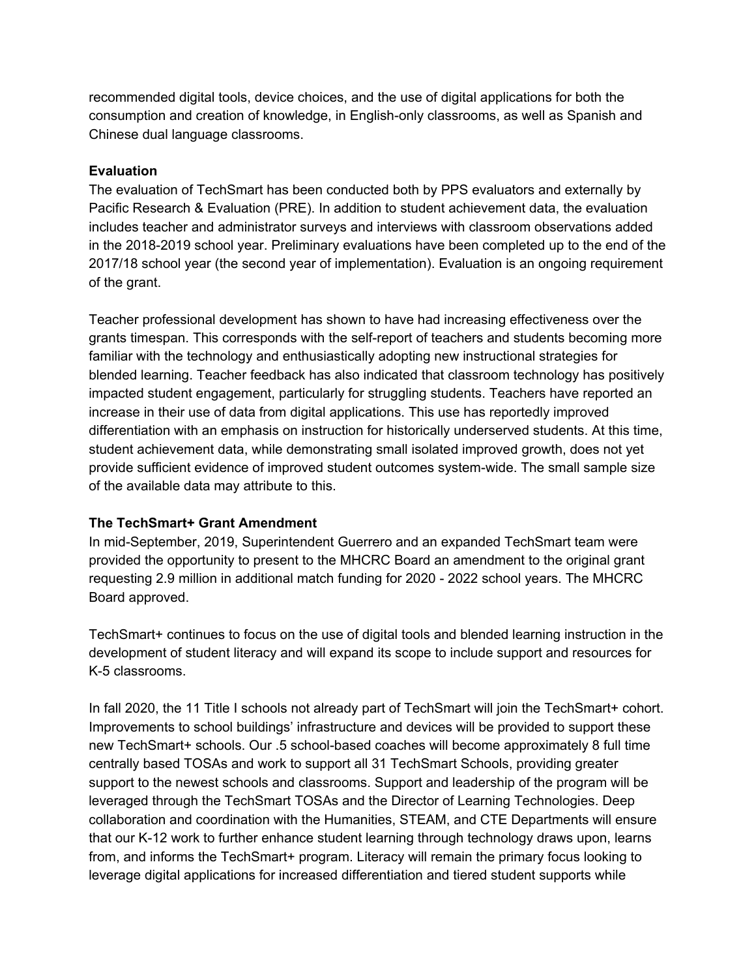recommended digital tools, device choices, and the use of digital applications for both the consumption and creation of knowledge, in English-only classrooms, as well as Spanish and Chinese dual language classrooms.

### **Evaluation**

The evaluation of TechSmart has been conducted both by PPS evaluators and externally by Pacific Research & Evaluation (PRE). In addition to student achievement data, the evaluation includes teacher and administrator surveys and interviews with classroom observations added in the 2018-2019 school year. Preliminary evaluations have been completed up to the end of the 2017/18 school year (the second year of implementation). Evaluation is an ongoing requirement of the grant.

Teacher professional development has shown to have had increasing effectiveness over the grants timespan. This corresponds with the self-report of teachers and students becoming more familiar with the technology and enthusiastically adopting new instructional strategies for blended learning. Teacher feedback has also indicated that classroom technology has positively impacted student engagement, particularly for struggling students. Teachers have reported an increase in their use of data from digital applications. This use has reportedly improved differentiation with an emphasis on instruction for historically underserved students. At this time, student achievement data, while demonstrating small isolated improved growth, does not yet provide sufficient evidence of improved student outcomes system-wide. The small sample size of the available data may attribute to this.

#### **The TechSmart+ Grant Amendment**

In mid-September, 2019, Superintendent Guerrero and an expanded TechSmart team were provided the opportunity to present to the MHCRC Board an amendment to the original grant requesting 2.9 million in additional match funding for 2020 - 2022 school years. The MHCRC Board approved.

TechSmart+ continues to focus on the use of digital tools and blended learning instruction in the development of student literacy and will expand its scope to include support and resources for K-5 classrooms.

In fall 2020, the 11 Title I schools not already part of TechSmart will join the TechSmart+ cohort. Improvements to school buildings' infrastructure and devices will be provided to support these new TechSmart+ schools. Our .5 school-based coaches will become approximately 8 full time centrally based TOSAs and work to support all 31 TechSmart Schools, providing greater support to the newest schools and classrooms. Support and leadership of the program will be leveraged through the TechSmart TOSAs and the Director of Learning Technologies. Deep collaboration and coordination with the Humanities, STEAM, and CTE Departments will ensure that our K-12 work to further enhance student learning through technology draws upon, learns from, and informs the TechSmart+ program. Literacy will remain the primary focus looking to leverage digital applications for increased differentiation and tiered student supports while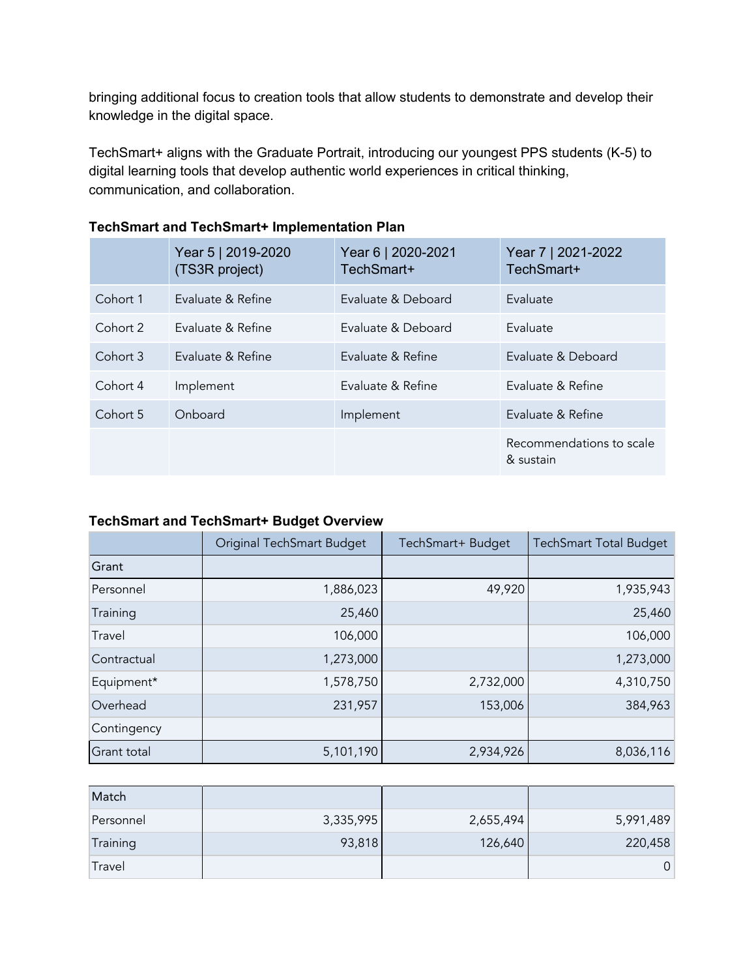bringing additional focus to creation tools that allow students to demonstrate and develop their knowledge in the digital space.

TechSmart+ aligns with the Graduate Portrait, introducing our youngest PPS students (K-5) to digital learning tools that develop authentic world experiences in critical thinking, communication, and collaboration.

|          | Year 5   2019-2020<br>(TS3R project) | Year 6   2020-2021<br>TechSmart+ | Year 7   2021-2022<br>TechSmart+      |
|----------|--------------------------------------|----------------------------------|---------------------------------------|
| Cohort 1 | Evaluate & Refine                    | Evaluate & Deboard               | Evaluate                              |
| Cohort 2 | Evaluate & Refine                    | Evaluate & Deboard               | Evaluate                              |
| Cohort 3 | Evaluate & Refine                    | Evaluate & Refine                | Evaluate & Deboard                    |
| Cohort 4 | Implement                            | Evaluate & Refine                | Evaluate & Refine                     |
| Cohort 5 | Onboard                              | Implement                        | Evaluate & Refine                     |
|          |                                      |                                  | Recommendations to scale<br>& sustain |

# **TechSmart and TechSmart+ Implementation Plan**

## **TechSmart and TechSmart+ Budget Overview**

|             | <b>Original TechSmart Budget</b> | TechSmart+ Budget | <b>TechSmart Total Budget</b> |
|-------------|----------------------------------|-------------------|-------------------------------|
| Grant       |                                  |                   |                               |
| Personnel   | 1,886,023                        | 49,920            | 1,935,943                     |
| Training    | 25,460                           |                   | 25,460                        |
| Travel      | 106,000                          |                   | 106,000                       |
| Contractual | 1,273,000                        |                   | 1,273,000                     |
| Equipment*  | 1,578,750                        | 2,732,000         | 4,310,750                     |
| Overhead    | 231,957                          | 153,006           | 384,963                       |
| Contingency |                                  |                   |                               |
| Grant total | 5,101,190                        | 2,934,926         | 8,036,116                     |

| Match     |           |           |           |
|-----------|-----------|-----------|-----------|
| Personnel | 3,335,995 | 2,655,494 | 5,991,489 |
| Training  | 93,818    | 126,640   | 220,458   |
| Travel    |           |           |           |